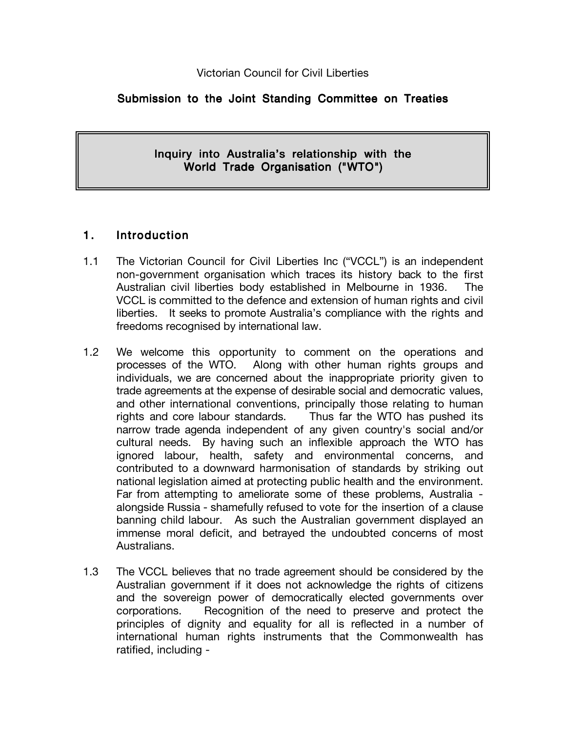### Victorian Council for Civil Liberties

# Submission to the Joint Standing Committee on Treaties

# Inquiry into Australia's relationship with the World Trade Organisation ("WTO")

# 1. Introduction

- 1.1 The Victorian Council for Civil Liberties Inc ("VCCL") is an independent non-government organisation which traces its history back to the first Australian civil liberties body established in Melbourne in 1936. The VCCL is committed to the defence and extension of human rights and civil liberties. It seeks to promote Australia's compliance with the rights and freedoms recognised by international law.
- 1.2 We welcome this opportunity to comment on the operations and processes of the WTO. Along with other human rights groups and individuals, we are concerned about the inappropriate priority given to trade agreements at the expense of desirable social and democratic values, and other international conventions, principally those relating to human rights and core labour standards. Thus far the WTO has pushed its narrow trade agenda independent of any given country's social and/or cultural needs. By having such an inflexible approach the WTO has ignored labour, health, safety and environmental concerns, and contributed to a downward harmonisation of standards by striking out national legislation aimed at protecting public health and the environment. Far from attempting to ameliorate some of these problems, Australia alongside Russia - shamefully refused to vote for the insertion of a clause banning child labour. As such the Australian government displayed an immense moral deficit, and betrayed the undoubted concerns of most Australians.
- 1.3 The VCCL believes that no trade agreement should be considered by the Australian government if it does not acknowledge the rights of citizens and the sovereign power of democratically elected governments over corporations. Recognition of the need to preserve and protect the principles of dignity and equality for all is reflected in a number of international human rights instruments that the Commonwealth has ratified, including -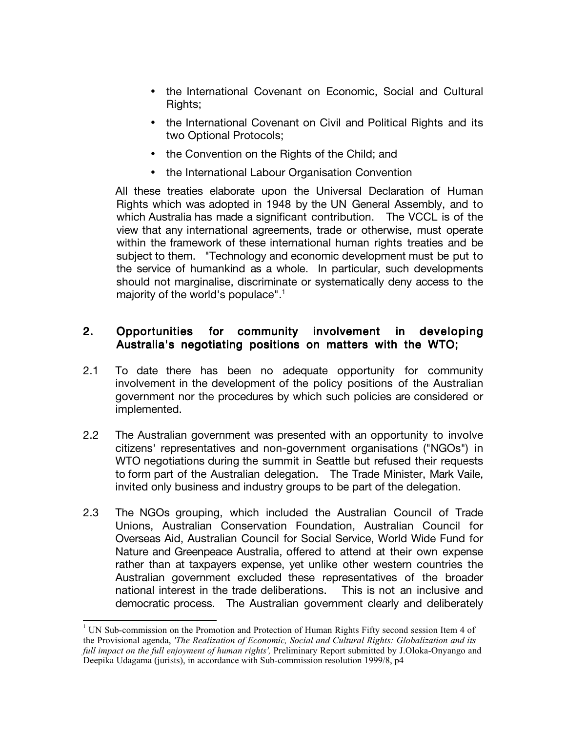- the International Covenant on Economic, Social and Cultural Rights;
- the International Covenant on Civil and Political Rights and its two Optional Protocols;
- the Convention on the Rights of the Child; and
- the International Labour Organisation Convention

All these treaties elaborate upon the Universal Declaration of Human Rights which was adopted in 1948 by the UN General Assembly, and to which Australia has made a significant contribution. The VCCL is of the view that any international agreements, trade or otherwise, must operate within the framework of these international human rights treaties and be subject to them. "Technology and economic development must be put to the service of humankind as a whole. In particular, such developments should not marginalise, discriminate or systematically deny access to the majority of the world's populace".<sup>1</sup>

# 2. Opportunities for community involvement in developing Australia's negotiating positions on matters with the WTO;

- 2.1 To date there has been no adequate opportunity for community involvement in the development of the policy positions of the Australian government nor the procedures by which such policies are considered or implemented.
- 2.2 The Australian government was presented with an opportunity to involve citizens' representatives and non-government organisations ("NGOs") in WTO negotiations during the summit in Seattle but refused their requests to form part of the Australian delegation. The Trade Minister, Mark Vaile, invited only business and industry groups to be part of the delegation.
- 2.3 The NGOs grouping, which included the Australian Council of Trade Unions, Australian Conservation Foundation, Australian Council for Overseas Aid, Australian Council for Social Service, World Wide Fund for Nature and Greenpeace Australia, offered to attend at their own expense rather than at taxpayers expense, yet unlike other western countries the Australian government excluded these representatives of the broader national interest in the trade deliberations. This is not an inclusive and democratic process. The Australian government clearly and deliberately

 $\overline{a}$ 

 $1$  UN Sub-commission on the Promotion and Protection of Human Rights Fifty second session Item 4 of the Provisional agenda, *'The Realization of Economic, Social and Cultural Rights: Globalization and its full impact on the full enjoyment of human rights',* Preliminary Report submitted by J.Oloka-Onyango and Deepika Udagama (jurists), in accordance with Sub-commission resolution 1999/8, p4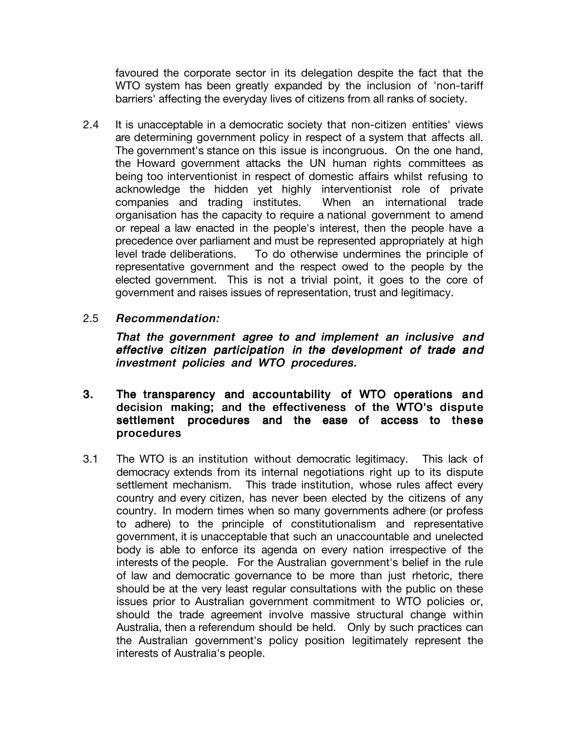favoured the corporate sector in its delegation despite the fact that the WTO system has been greatly expanded by the inclusion of 'non-tariff barriers' affecting the everyday lives of citizens from all ranks of society.

- 2.4 It is unacceptable in a democratic society that non-citizen entities' views are determining government policy in respect of a system that affects all. The government's stance on this issue is incongruous. On the one hand, the Howard government attacks the UN human rights committees as being too interventionist in respect of domestic affairs whilst refusing to acknowledge the hidden yet highly interventionist role of private companies and trading institutes. When an international trade organisation has the capacity to require a national government to amend or repeal a law enacted in the people's interest, then the people have a precedence over parliament and must be represented appropriately at high level trade deliberations. To do otherwise undermines the principle of representative government and the respect owed to the people by the elected government. This is not a trivial point, it goes to the core of government and raises issues of representation, trust and legitimacy.
- 2.5 Recommendation:

That the government agree to and implement an inclusive and effective citizen participation in the development of trade and investment policies and WTO procedures.

- 3. The transparency and accountability of WTO operations and decision making; and the effectiveness of the WTO's dispute settlement procedures and the ease of access to these procedures
- 3.1 The WTO is an institution without democratic legitimacy. This lack of democracy extends from its internal negotiations right up to its dispute settlement mechanism. This trade institution, whose rules affect every country and every citizen, has never been elected by the citizens of any country. In modern times when so many governments adhere (or profess to adhere) to the principle of constitutionalism and representative government, it is unacceptable that such an unaccountable and unelected body is able to enforce its agenda on every nation irrespective of the interests of the people. For the Australian government's belief in the rule of law and democratic governance to be more than just rhetoric, there should be at the very least regular consultations with the public on these issues prior to Australian government commitment to WTO policies or, should the trade agreement involve massive structural change within Australia, then a referendum should be held. Only by such practices can the Australian government's policy position legitimately represent the interests of Australia's people.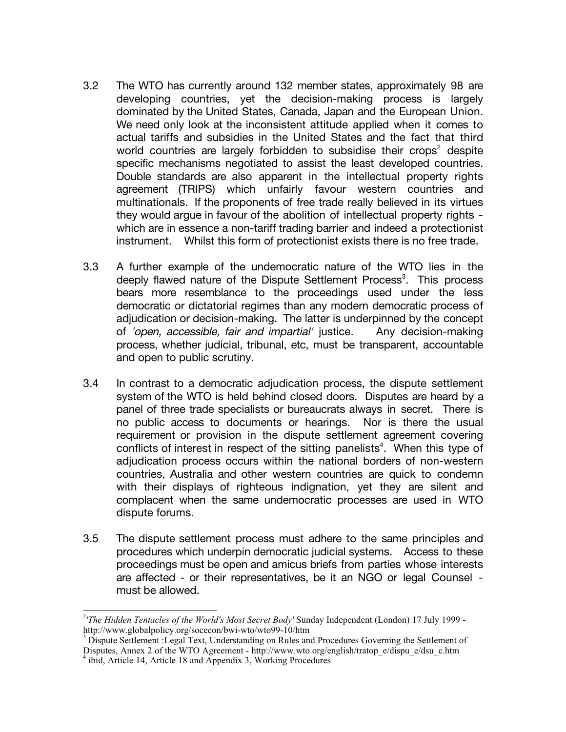- 3.2 The WTO has currently around 132 member states, approximately 98 are developing countries, yet the decision-making process is largely dominated by the United States, Canada, Japan and the European Union. We need only look at the inconsistent attitude applied when it comes to actual tariffs and subsidies in the United States and the fact that third world countries are largely forbidden to subsidise their crops<sup>2</sup> despite specific mechanisms negotiated to assist the least developed countries. Double standards are also apparent in the intellectual property rights agreement (TRIPS) which unfairly favour western countries and multinationals. If the proponents of free trade really believed in its virtues they would argue in favour of the abolition of intellectual property rights which are in essence a non-tariff trading barrier and indeed a protectionist instrument. Whilst this form of protectionist exists there is no free trade.
- 3.3 A further example of the undemocratic nature of the WTO lies in the deeply flawed nature of the Dispute Settlement Process<sup>3</sup>. This process bears more resemblance to the proceedings used under the less democratic or dictatorial regimes than any modern democratic process of adjudication or decision-making. The latter is underpinned by the concept of 'open, accessible, fair and impartial' justice. Any decision-making process, whether judicial, tribunal, etc, must be transparent, accountable and open to public scrutiny.
- 3.4 In contrast to a democratic adjudication process, the dispute settlement system of the WTO is held behind closed doors. Disputes are heard by a panel of three trade specialists or bureaucrats always in secret. There is no public access to documents or hearings. Nor is there the usual requirement or provision in the dispute settlement agreement covering conflicts of interest in respect of the sitting panelists<sup>4</sup>. When this type of adjudication process occurs within the national borders of non-western countries, Australia and other western countries are quick to condemn with their displays of righteous indignation, yet they are silent and complacent when the same undemocratic processes are used in WTO dispute forums.
- 3.5 The dispute settlement process must adhere to the same principles and procedures which underpin democratic judicial systems. Access to these proceedings must be open and amicus briefs from parties whose interests are affected - or their representatives, be it an NGO or legal Counsel must be allowed.

<sup>3</sup> Dispute Settlement : Legal Text, Understanding on Rules and Procedures Governing the Settlement of Disputes, Annex 2 of the WTO Agreement - http://www.wto.org/english/tratop\_e/dispu\_e/dsu\_c.htm

 2 *'The Hidden Tentacles of the World's Most Secret Body'* Sunday Independent (London) 17 July 1999 http://www.globalpolicy.org/socecon/bwi-wto/wto99-10/htm

<sup>&</sup>lt;sup>4</sup> ibid, Article 14, Article 18 and Appendix 3, Working Procedures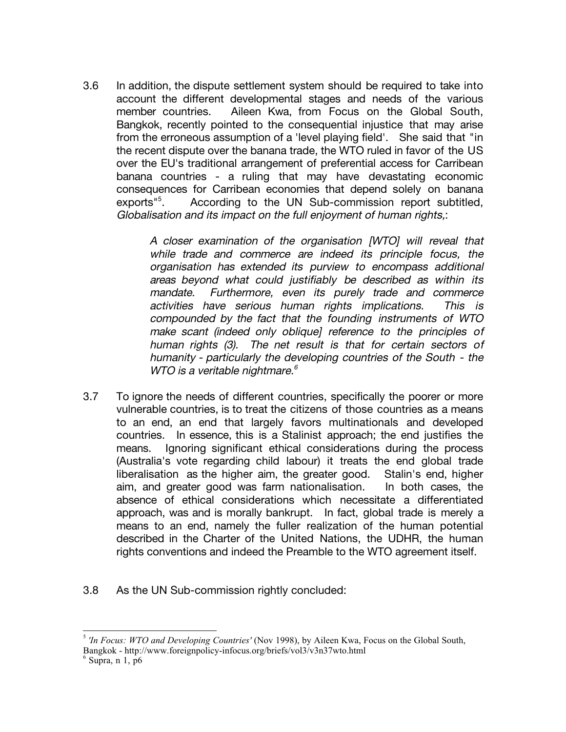3.6 In addition, the dispute settlement system should be required to take into account the different developmental stages and needs of the various member countries. Aileen Kwa, from Focus on the Global South, Bangkok, recently pointed to the consequential injustice that may arise from the erroneous assumption of a 'level playing field'. She said that "in the recent dispute over the banana trade, the WTO ruled in favor of the US over the EU's traditional arrangement of preferential access for Carribean banana countries - a ruling that may have devastating economic consequences for Carribean economies that depend solely on banana exports"<sup>5</sup>. . According to the UN Sub-commission report subtitled, Globalisation and its impact on the full enjoyment of human rights,:

> A closer examination of the organisation [WTO] will reveal that while trade and commerce are indeed its principle focus, the organisation has extended its purview to encompass additional areas beyond what could justifiably be described as within its mandate. Furthermore, even its purely trade and commerce activities have serious human rights implications. This is compounded by the fact that the founding instruments of WTO make scant (indeed only oblique] reference to the principles of human rights (3). The net result is that for certain sectors of humanity - particularly the developing countries of the South - the WTO is a veritable nightmare. $6$

3.7 To ignore the needs of different countries, specifically the poorer or more vulnerable countries, is to treat the citizens of those countries as a means to an end, an end that largely favors multinationals and developed countries. In essence, this is a Stalinist approach; the end justifies the means. Ignoring significant ethical considerations during the process (Australia's vote regarding child labour) it treats the end global trade liberalisation as the higher aim, the greater good. Stalin's end, higher aim, and greater good was farm nationalisation. In both cases, the absence of ethical considerations which necessitate a differentiated approach, was and is morally bankrupt. In fact, global trade is merely a means to an end, namely the fuller realization of the human potential described in the Charter of the United Nations, the UDHR, the human rights conventions and indeed the Preamble to the WTO agreement itself.

# 3.8 As the UN Sub-commission rightly concluded:

 $\overline{a}$ <sup>5</sup> *'In Focus: WTO and Developing Countries'* (Nov 1998), by Aileen Kwa, Focus on the Global South, Bangkok - http://www.foreignpolicy-infocus.org/briefs/vol3/v3n37wto.html

 $6$  Supra, n 1, p6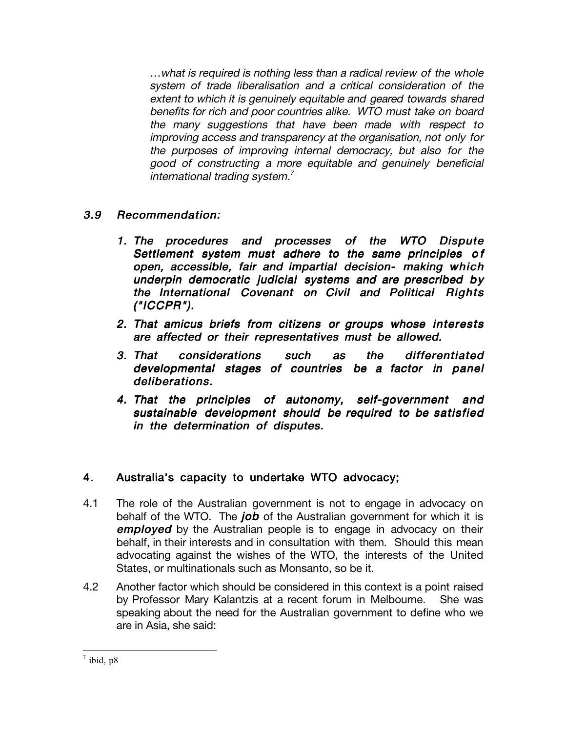…what is required is nothing less than a radical review of the whole system of trade liberalisation and a critical consideration of the extent to which it is genuinely equitable and geared towards shared benefits for rich and poor countries alike. WTO must take on board the many suggestions that have been made with respect to improving access and transparency at the organisation, not only for the purposes of improving internal democracy, but also for the good of constructing a more equitable and genuinely beneficial international trading system. $<sup>7</sup>$ </sup>

# 3.9 Recommendation:

- 1. The procedures and processes of the WTO Dispute Settlement system must adhere to the same principles of open, accessible, fair and impartial decision- making which underpin democratic judicial systems and are prescribed by the International Covenant on Civil and Political Rights ("ICCPR").
- 2. That amicus briefs from citizens or groups whose interests are affected or their representatives must be allowed.
- 3. That considerations such as the differentiated developmental stages of countries be a factor in panel deliberations.
- 4. That the principles of autonomy, self-government and sustainable development should be required to be satisfied in the determination of disputes.

# 4. Australia's capacity to undertake WTO advocacy;

- 4.1 The role of the Australian government is not to engage in advocacy on behalf of the WTO. The **job** of the Australian government for which it is employed by the Australian people is to engage in advocacy on their behalf, in their interests and in consultation with them. Should this mean advocating against the wishes of the WTO, the interests of the United States, or multinationals such as Monsanto, so be it.
- 4.2 Another factor which should be considered in this context is a point raised by Professor Mary Kalantzis at a recent forum in Melbourne. She was speaking about the need for the Australian government to define who we are in Asia, she said:

 $\overline{a}$  $^7$  ibid, p8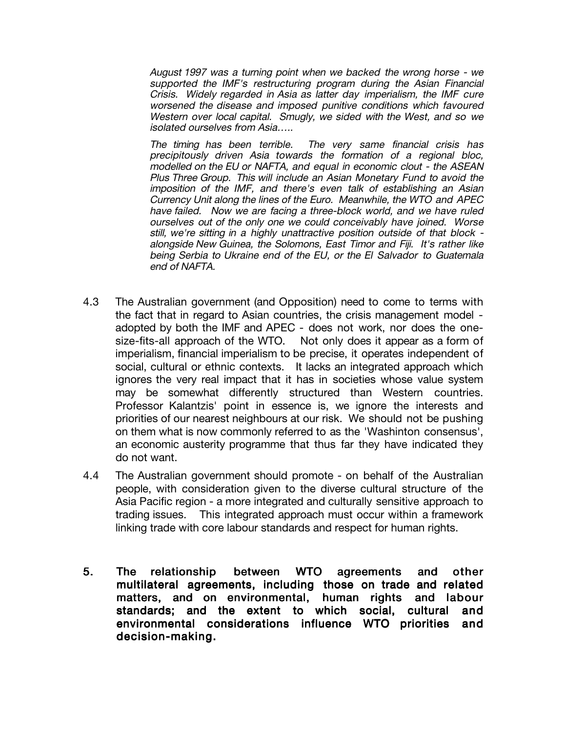August 1997 was a turning point when we backed the wrong horse - we supported the IMF's restructuring program during the Asian Financial Crisis. Widely regarded in Asia as latter day imperialism, the IMF cure worsened the disease and imposed punitive conditions which favoured Western over local capital. Smugly, we sided with the West, and so we isolated ourselves from Asia…..

The timing has been terrible. The very same financial crisis has precipitously driven Asia towards the formation of a regional bloc, modelled on the EU or NAFTA, and equal in economic clout - the ASEAN Plus Three Group. This will include an Asian Monetary Fund to avoid the imposition of the IMF, and there's even talk of establishing an Asian Currency Unit along the lines of the Euro. Meanwhile, the WTO and APEC have failed. Now we are facing a three-block world, and we have ruled ourselves out of the only one we could conceivably have joined. Worse still, we're sitting in a highly unattractive position outside of that block alongside New Guinea, the Solomons, East Timor and Fiji. It's rather like being Serbia to Ukraine end of the EU, or the El Salvador to Guatemala end of NAFTA.

- 4.3 The Australian government (and Opposition) need to come to terms with the fact that in regard to Asian countries, the crisis management model adopted by both the IMF and APEC - does not work, nor does the onesize-fits-all approach of the WTO. Not only does it appear as a form of imperialism, financial imperialism to be precise, it operates independent of social, cultural or ethnic contexts. It lacks an integrated approach which ignores the very real impact that it has in societies whose value system may be somewhat differently structured than Western countries. Professor Kalantzis' point in essence is, we ignore the interests and priorities of our nearest neighbours at our risk. We should not be pushing on them what is now commonly referred to as the 'Washinton consensus', an economic austerity programme that thus far they have indicated they do not want.
- 4.4 The Australian government should promote on behalf of the Australian people, with consideration given to the diverse cultural structure of the Asia Pacific region - a more integrated and culturally sensitive approach to trading issues. This integrated approach must occur within a framework linking trade with core labour standards and respect for human rights.
- 5. The relationship between WTO agreements and other multilateral agreements, including those on trade and related matters, and on environmental, human rights and labour standards; and the extent to which social, cultural and environmental considerations influence WTO priorities and decision-making.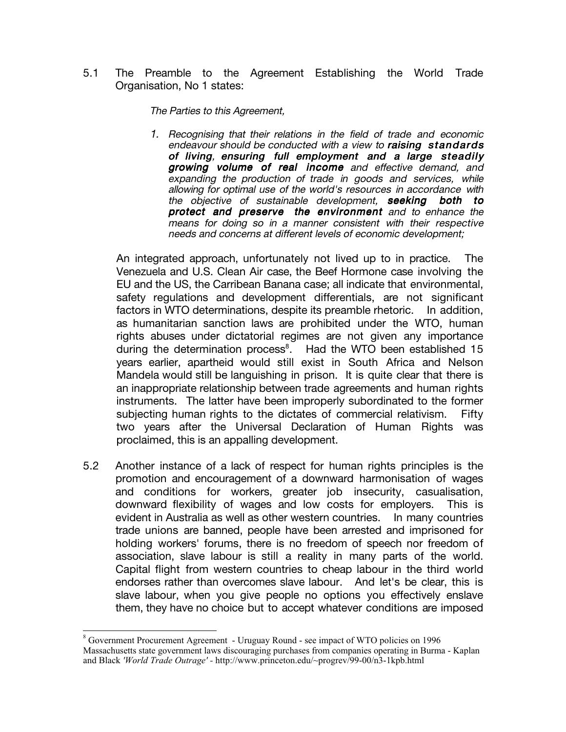5.1 The Preamble to the Agreement Establishing the World Trade Organisation, No 1 states:

The Parties to this Agreement,

1. Recognising that their relations in the field of trade and economic endeavour should be conducted with a view to raising standards of living, ensuring full employment and a large steadily growing volume of real income and effective demand, and expanding the production of trade in goods and services, while allowing for optimal use of the world's resources in accordance with the objective of sustainable development, seeking both to protect and preserve the environment and to enhance the means for doing so in a manner consistent with their respective needs and concerns at different levels of economic development;

An integrated approach, unfortunately not lived up to in practice. The Venezuela and U.S. Clean Air case, the Beef Hormone case involving the EU and the US, the Carribean Banana case; all indicate that environmental, safety regulations and development differentials, are not significant factors in WTO determinations, despite its preamble rhetoric. In addition, as humanitarian sanction laws are prohibited under the WTO, human rights abuses under dictatorial regimes are not given any importance during the determination process<sup>8</sup>. Had the WTO been established 15 years earlier, apartheid would still exist in South Africa and Nelson Mandela would still be languishing in prison. It is quite clear that there is an inappropriate relationship between trade agreements and human rights instruments. The latter have been improperly subordinated to the former subjecting human rights to the dictates of commercial relativism. Fifty two years after the Universal Declaration of Human Rights was proclaimed, this is an appalling development.

5.2 Another instance of a lack of respect for human rights principles is the promotion and encouragement of a downward harmonisation of wages and conditions for workers, greater job insecurity, casualisation, downward flexibility of wages and low costs for employers. This is evident in Australia as well as other western countries. In many countries trade unions are banned, people have been arrested and imprisoned for holding workers' forums, there is no freedom of speech nor freedom of association, slave labour is still a reality in many parts of the world. Capital flight from western countries to cheap labour in the third world endorses rather than overcomes slave labour. And let's be clear, this is slave labour, when you give people no options you effectively enslave them, they have no choice but to accept whatever conditions are imposed

 8 Government Procurement Agreement - Uruguay Round - see impact of WTO policies on 1996 Massachusetts state government laws discouraging purchases from companies operating in Burma - Kaplan and Black *'World Trade Outrage' -* http://www.princeton.edu/~progrev/99-00/n3-1kpb.html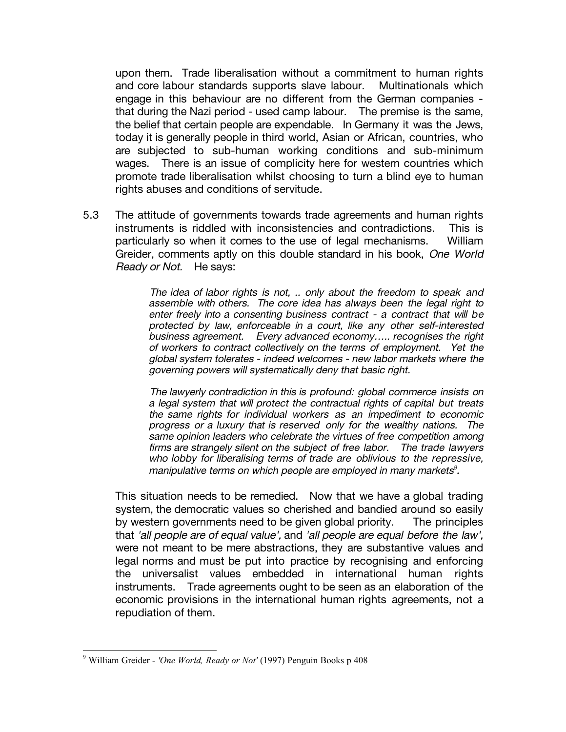upon them. Trade liberalisation without a commitment to human rights and core labour standards supports slave labour. Multinationals which engage in this behaviour are no different from the German companies that during the Nazi period - used camp labour. The premise is the same, the belief that certain people are expendable. In Germany it was the Jews, today it is generally people in third world, Asian or African, countries, who are subjected to sub-human working conditions and sub-minimum wages. There is an issue of complicity here for western countries which promote trade liberalisation whilst choosing to turn a blind eye to human rights abuses and conditions of servitude.

5.3 The attitude of governments towards trade agreements and human rights instruments is riddled with inconsistencies and contradictions. This is particularly so when it comes to the use of legal mechanisms. William Greider, comments aptly on this double standard in his book, One World Ready or Not. He says:

> The idea of labor rights is not, .. only about the freedom to speak and assemble with others. The core idea has always been the legal right to enter freely into a consenting business contract - a contract that will be protected by law, enforceable in a court, like any other self-interested business agreement. Every advanced economy….. recognises the right of workers to contract collectively on the terms of employment. Yet the global system tolerates - indeed welcomes - new labor markets where the governing powers will systematically deny that basic right.

> The lawyerly contradiction in this is profound: global commerce insists on a legal system that will protect the contractual rights of capital but treats the same rights for individual workers as an impediment to economic progress or a luxury that is reserved only for the wealthy nations. The same opinion leaders who celebrate the virtues of free competition among firms are strangely silent on the subject of free labor. The trade lawyers who lobby for liberalising terms of trade are oblivious to the repressive, manipulative terms on which people are employed in many markets $^{\circ}$ .

This situation needs to be remedied. Now that we have a global trading system, the democratic values so cherished and bandied around so easily by western governments need to be given global priority. The principles that 'all people are of equal value', and 'all people are equal before the law', were not meant to be mere abstractions, they are substantive values and legal norms and must be put into practice by recognising and enforcing the universalist values embedded in international human rights instruments. Trade agreements ought to be seen as an elaboration of the economic provisions in the international human rights agreements, not a repudiation of them.

 $\overline{a}$ <sup>9</sup> William Greider *- 'One World, Ready or Not'* (1997) Penguin Books p 408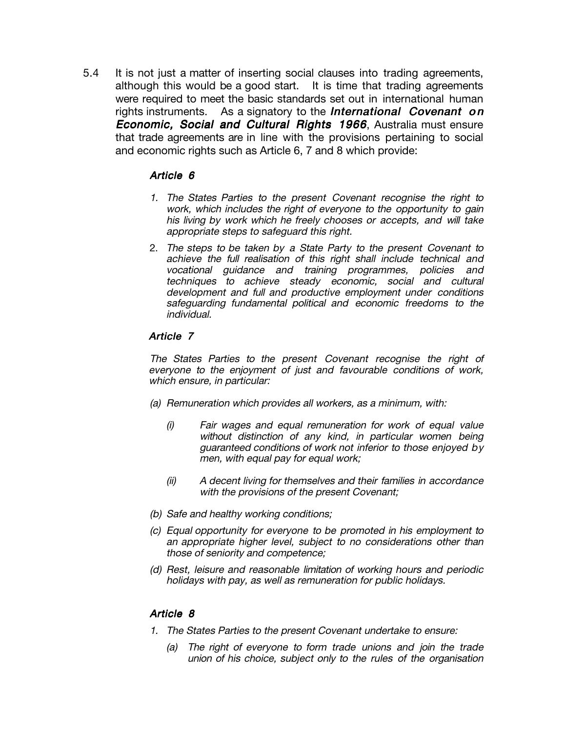5.4 It is not just a matter of inserting social clauses into trading agreements, although this would be a good start. It is time that trading agreements were required to meet the basic standards set out in international human rights instruments. As a signatory to the **International Covenant on** Economic, Social and Cultural Rights 1966, Australia must ensure that trade agreements are in line with the provisions pertaining to social and economic rights such as Article 6, 7 and 8 which provide:

### Article 6

- 1. The States Parties to the present Covenant recognise the right to work, which includes the right of everyone to the opportunity to gain his living by work which he freely chooses or accepts, and will take appropriate steps to safeguard this right.
- 2. The steps to be taken by a State Party to the present Covenant to achieve the full realisation of this right shall include technical and vocational guidance and training programmes, policies and techniques to achieve steady economic, social and cultural development and full and productive employment under conditions safeguarding fundamental political and economic freedoms to the individual.

### Article 7

The States Parties to the present Covenant recognise the right of everyone to the enjoyment of just and favourable conditions of work, which ensure, in particular:

- (a) Remuneration which provides all workers, as a minimum, with:
	- (i) Fair wages and equal remuneration for work of equal value without distinction of any kind, in particular women being guaranteed conditions of work not inferior to those enjoyed by men, with equal pay for equal work;
	- (ii) A decent living for themselves and their families in accordance with the provisions of the present Covenant;
- (b) Safe and healthy working conditions;
- (c) Equal opportunity for everyone to be promoted in his employment to an appropriate higher level, subject to no considerations other than those of seniority and competence;
- (d) Rest, leisure and reasonable limitation of working hours and periodic holidays with pay, as well as remuneration for public holidays.

# Article 8

- 1. The States Parties to the present Covenant undertake to ensure:
	- (a) The right of everyone to form trade unions and join the trade union of his choice, subject only to the rules of the organisation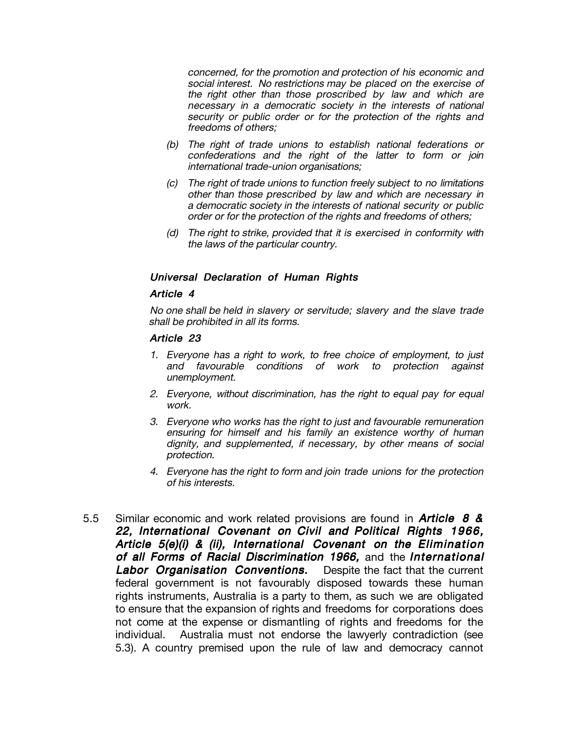concerned, for the promotion and protection of his economic and social interest. No restrictions may be placed on the exercise of the right other than those proscribed by law and which are necessary in a democratic society in the interests of national security or public order or for the protection of the rights and freedoms of others;

- (b) The right of trade unions to establish national federations or confederations and the right of the latter to form or join international trade-union organisations;
- (c) The right of trade unions to function freely subject to no limitations other than those prescribed by law and which are necessary in a democratic society in the interests of national security or public order or for the protection of the rights and freedoms of others;
- (d) The right to strike, provided that it is exercised in conformity with the laws of the particular country.

#### Universal Declaration of Human Rights

#### Article 4

No one shall be held in slavery or servitude; slavery and the slave trade shall be prohibited in all its forms.

#### Article 23

- 1. Everyone has a right to work, to free choice of employment, to just and favourable conditions of work to protection against unemployment.
- 2. Everyone, without discrimination, has the right to equal pay for equal work.
- 3. Everyone who works has the right to just and favourable remuneration ensuring for himself and his family an existence worthy of human dignity, and supplemented, if necessary, by other means of social protection.
- 4. Everyone has the right to form and join trade unions for the protection of his interests.
- 5.5 Similar economic and work related provisions are found in **Article 8 &** 22, International Covenant on Civil and Political Rights 1966, Article 5(e)(i) & (ii), International Covenant on the Elimination of all Forms of Racial Discrimination 1966, and the International **Labor Organisation Conventions.** Despite the fact that the current federal government is not favourably disposed towards these human rights instruments, Australia is a party to them, as such we are obligated to ensure that the expansion of rights and freedoms for corporations does not come at the expense or dismantling of rights and freedoms for the individual. Australia must not endorse the lawyerly contradiction (see 5.3). A country premised upon the rule of law and democracy cannot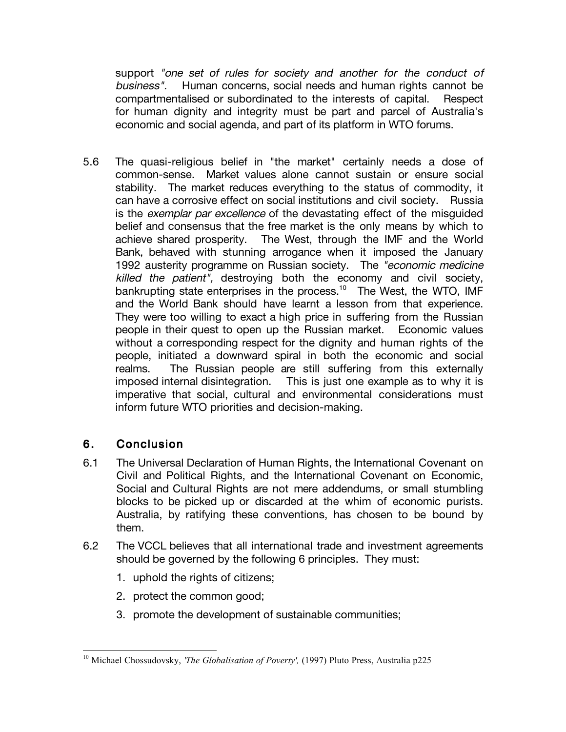support "one set of rules for society and another for the conduct of business". Human concerns, social needs and human rights cannot be compartmentalised or subordinated to the interests of capital. Respect for human dignity and integrity must be part and parcel of Australia's economic and social agenda, and part of its platform in WTO forums.

5.6 The quasi-religious belief in "the market" certainly needs a dose of common-sense. Market values alone cannot sustain or ensure social stability. The market reduces everything to the status of commodity, it can have a corrosive effect on social institutions and civil society. Russia is the exemplar par excellence of the devastating effect of the misguided belief and consensus that the free market is the only means by which to achieve shared prosperity. The West, through the IMF and the World Bank, behaved with stunning arrogance when it imposed the January 1992 austerity programme on Russian society. The "economic medicine killed the patient", destroying both the economy and civil society, bankrupting state enterprises in the process.<sup>10</sup> The West, the WTO, IMF and the World Bank should have learnt a lesson from that experience. They were too willing to exact a high price in suffering from the Russian people in their quest to open up the Russian market. Economic values without a corresponding respect for the dignity and human rights of the people, initiated a downward spiral in both the economic and social realms. The Russian people are still suffering from this externally imposed internal disintegration. This is just one example as to why it is imperative that social, cultural and environmental considerations must inform future WTO priorities and decision-making.

# 6. Conclusion

- 6.1 The Universal Declaration of Human Rights, the International Covenant on Civil and Political Rights, and the International Covenant on Economic, Social and Cultural Rights are not mere addendums, or small stumbling blocks to be picked up or discarded at the whim of economic purists. Australia, by ratifying these conventions, has chosen to be bound by them.
- 6.2 The VCCL believes that all international trade and investment agreements should be governed by the following 6 principles. They must:
	- 1. uphold the rights of citizens;
	- 2. protect the common good;
	- 3. promote the development of sustainable communities;

 $\overline{a}$ <sup>10</sup> Michael Chossudovsky, *'The Globalisation of Poverty'*, (1997) Pluto Press, Australia p225